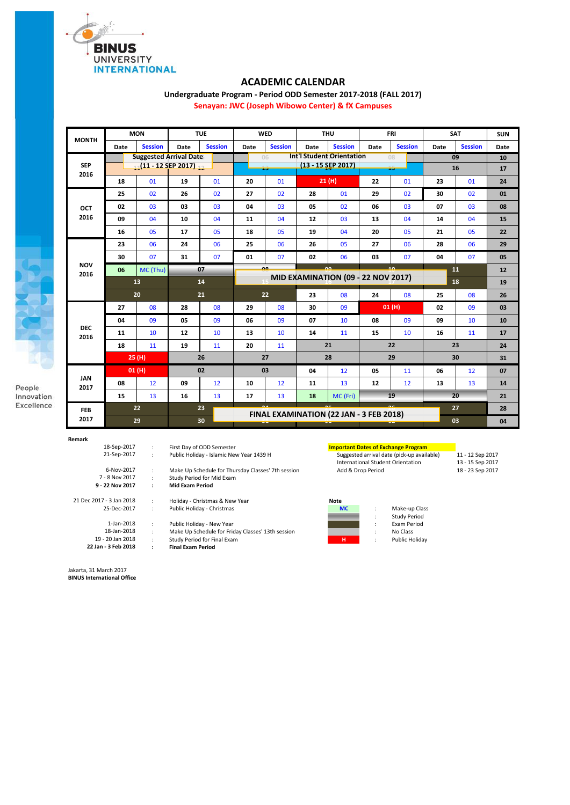

## **ACADEMIC CALENDAR**

**Undergraduate Program - Period ODD Semester 2017-2018 (FALL 2017)**

**Senayan: JWC (Joseph Wibowo Center) & fX Campuses**

| <b>MONTH</b>       | <b>MON</b>                          |                |      | <b>TUE</b>      |                                                    | <b>WED</b>                                |                    | <b>THU</b>     |      | <b>FRI</b>     | <b>SAT</b> |                | <b>SUN</b> |
|--------------------|-------------------------------------|----------------|------|-----------------|----------------------------------------------------|-------------------------------------------|--------------------|----------------|------|----------------|------------|----------------|------------|
|                    | Date                                | <b>Session</b> | Date | <b>Session</b>  | Date                                               | <b>Session</b>                            | Date               | <b>Session</b> | Date | <b>Session</b> | Date       | <b>Session</b> | Date       |
| <b>SEP</b><br>2016 | <b>Suggested Arrival Date</b>       |                |      |                 | <b>Int'l Student Orientation</b><br>09<br>06<br>08 |                                           |                    |                |      |                | 10         |                |            |
|                    | 11 <sup>(11</sup> - 12 SEP 2017) 12 |                |      |                 |                                                    | 15                                        | (13 - 15 SEP 2017) |                | 15   |                | 16         |                | 17         |
|                    | 18                                  | 01             | 19   | 01              | 20                                                 | 01                                        |                    | 21(H)          | 22   | 01             | 23         | 01             | 24         |
| OCT                | 25                                  | 02             | 26   | 02              | 27                                                 | 02                                        | 28                 | 01             | 29   | 02             | 30         | 02             | 01         |
|                    | 02                                  | 03             | 03   | 03              | 04                                                 | 03                                        | 05                 | 02             | 06   | 03             | 07         | 03             | 08         |
| 2016               | 09                                  | 04             | 10   | 04              | 11                                                 | 04                                        | 12                 | 03             | 13   | 04             | 14         | 04             | 15         |
|                    | 16                                  | 05             | 17   | 05              | 18                                                 | 05                                        | 19                 | 04             | 20   | 05             | 21         | 05             | 22         |
|                    | 23                                  | 06             | 24   | 06              | 25                                                 | 06                                        | 26                 | 05             | 27   | 06             | 28         | 06             | 29         |
|                    | 30                                  | 07             | 31   | 07              | 01                                                 | 07                                        | 02                 | 06             | 03   | 07             | 04         | 07             | 05         |
| <b>NOV</b><br>2016 | 06                                  | MC (Thu)       |      | $\overline{07}$ |                                                    |                                           |                    |                |      |                |            | 11             | 12         |
|                    | 13                                  |                |      | 14              |                                                    | <b>MID EXAMINATION (09 - 22 NOV 2017)</b> |                    |                |      |                | 18         |                | 19         |
|                    | 20                                  |                | 21   |                 | 22                                                 |                                           | 23                 | 08             | 24   | 08             | 25         | 08             | 26         |
|                    | 27                                  | 08             | 28   | 08              | 29                                                 | 08                                        | 30                 | 09             |      | 01(H)          | 02         | 09             | 03         |
|                    | 04                                  | 09             | 05   | 09              | 06                                                 | 09                                        | 07                 | 10             | 08   | 09             | 09         | 10             | 10         |
| <b>DEC</b><br>2016 | 11                                  | 10             | 12   | 10              | 13                                                 | 10                                        | 14                 | 11             | 15   | 10             | 16         | 11             | 17         |
|                    | 18                                  | 11             | 19   | 11              | 20                                                 | 11                                        |                    | 21             |      | 22             |            | 23             | 24         |
|                    | 25(H)                               |                | 26   |                 | 27                                                 |                                           | 28                 |                | 29   |                | 30         |                | 31         |
|                    | 01(H)                               |                | 02   |                 | 03                                                 |                                           | 04                 | 12             | 05   | 11             | 06         | 12             | 07         |
| <b>JAN</b><br>2017 | 08                                  | 12             | 09   | 12              | 10                                                 | 12                                        | 11                 | 13             | 12   | 12             | 13         | 13             | 14         |
|                    | 15                                  | 13             | 16   | 13              | 17                                                 | 13                                        | 18                 | MC (Fri)       |      | 19             |            | 20             | 21         |
| <b>FEB</b>         | 22                                  |                |      | 23              |                                                    | FINAL EXAMINATION (22 JAN - 3 FEB 2018)   |                    |                |      |                |            | 27             |            |
| 2017               | 29                                  |                | 30   |                 | w.                                                 |                                           |                    |                |      |                | 03         |                | 04         |

**Remark**

21 Dec 2017 - 3 Jan 2018 18-Sep-2017 21-Sep-2017 6-Nov-2017 7 - 8 Nov 2017 **9 - 22 Nov 2017**

> 25-Dec-2017 1-Jan-2018

- 18-Jan-2018
- 19 20 Jan 2018 **22 Jan - 3 Feb 2018**
- : First Day of ODD Semester **Important Dates of Exchange Program**
- : Make Up Schedule for Thursday Classes' 7th session : Study Period for Mid Exam **: Mid Exam Period**
- : Holiday Christmas & New Year **Note 2018**<br>: Public Holiday Christmas **Note 2018** Public Holiday - Christmas **MC** : Make-up Class
- : Public Holiday New Year : Exam Period : Make Up Schedule for Friday Classes' 13th session : No Class : Study Period for Final Exam **H** : Public Holiday
	- **: Final Exam Period**

Suggested arrival date (pick-up available) 11 - 12 Sep 2017<br>
International Student Orientation 13 - 15 Sep 2017<br>
Add & Drop Period 18 - 23 Sep 2017 International Student Orientation<br>Add & Drop Period

- 
- Study Period<br>Exam Period
- 

Jakarta, 31 March 2017

**BINUS International Office**



People Innovation Excellence